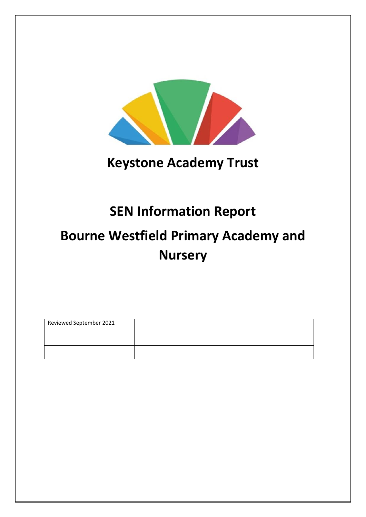

# **Keystone Academy Trust**

# **SEN Information Report**

# **Bourne Westfield Primary Academy and Nursery**

| Reviewed September 2021 |  |
|-------------------------|--|
|                         |  |
|                         |  |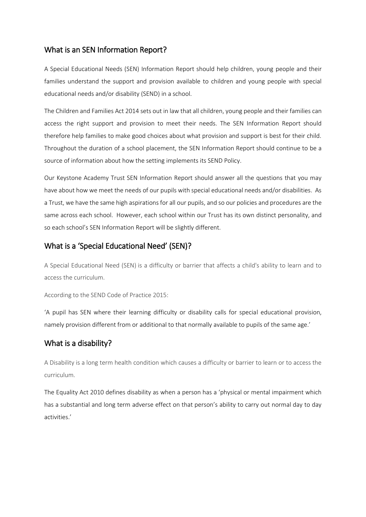### What is an SEN Information Report?

A Special Educational Needs (SEN) Information Report should help children, young people and their families understand the support and provision available to children and young people with special educational needs and/or disability (SEND) in a school.

The Children and Families Act 2014 sets out in law that all children, young people and their families can access the right support and provision to meet their needs. The SEN Information Report should therefore help families to make good choices about what provision and support is best for their child. Throughout the duration of a school placement, the SEN Information Report should continue to be a source of information about how the setting implements its SEND Policy.

Our Keystone Academy Trust SEN Information Report should answer all the questions that you may have about how we meet the needs of our pupils with special educational needs and/or disabilities. As a Trust, we have the same high aspirations for all our pupils, and so our policies and procedures are the same across each school. However, each school within our Trust has its own distinct personality, and so each school's SEN Information Report will be slightly different.

## What is a 'Special Educational Need' (SEN)?

A Special Educational Need (SEN) is a difficulty or barrier that affects a child's ability to learn and to access the curriculum.

According to the SEND Code of Practice 2015:

'A pupil has SEN where their learning difficulty or disability calls for special educational provision, namely provision different from or additional to that normally available to pupils of the same age.'

# What is a disability?

A Disability is a long term health condition which causes a difficulty or barrier to learn or to access the curriculum.

The Equality Act 2010 defines disability as when a person has a 'physical or mental impairment which has a substantial and long term adverse effect on that person's ability to carry out normal day to day activities.'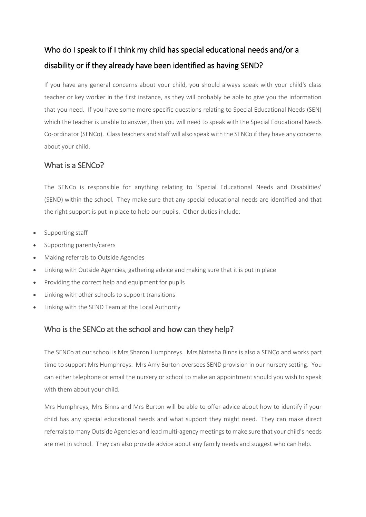# Who do I speak to if I think my child has special educational needs and/or a disability or if they already have been identified as having SEND?

If you have any general concerns about your child, you should always speak with your child's class teacher or key worker in the first instance, as they will probably be able to give you the information that you need. If you have some more specific questions relating to Special Educational Needs (SEN) which the teacher is unable to answer, then you will need to speak with the Special Educational Needs Co-ordinator (SENCo). Class teachers and staff will also speak with the SENCo if they have any concerns about your child.

### What is a SENCo?

The SENCo is responsible for anything relating to 'Special Educational Needs and Disabilities' (SEND) within the school. They make sure that any special educational needs are identified and that the right support is put in place to help our pupils. Other duties include:

- Supporting staff
- Supporting parents/carers
- Making referrals to Outside Agencies
- Linking with Outside Agencies, gathering advice and making sure that it is put in place
- Providing the correct help and equipment for pupils
- Linking with other schools to support transitions
- Linking with the SEND Team at the Local Authority

# Who is the SENCo at the school and how can they help?

The SENCo at our school is Mrs Sharon Humphreys. Mrs Natasha Binns is also a SENCo and works part time to support Mrs Humphreys. Mrs Amy Burton oversees SEND provision in our nursery setting. You can either telephone or email the nursery or school to make an appointment should you wish to speak with them about your child.

Mrs Humphreys, Mrs Binns and Mrs Burton will be able to offer advice about how to identify if your child has any special educational needs and what support they might need. They can make direct referrals to many Outside Agencies and lead multi-agency meetings to make sure that your child's needs are met in school. They can also provide advice about any family needs and suggest who can help.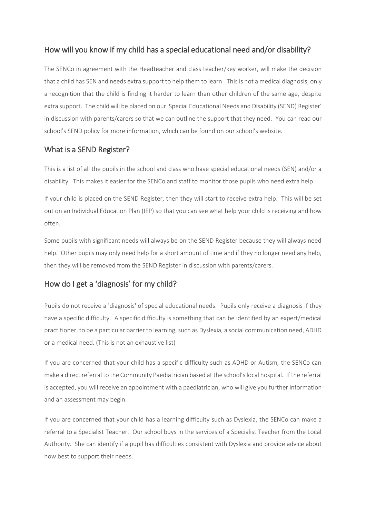# How will you know if my child has a special educational need and/or disability?

The SENCo in agreement with the Headteacher and class teacher/key worker, will make the decision that a child has SEN and needs extra support to help them to learn. This is not a medical diagnosis, only a recognition that the child is finding it harder to learn than other children of the same age, despite extra support. The child will be placed on our 'Special Educational Needs and Disability (SEND) Register' in discussion with parents/carers so that we can outline the support that they need. You can read our school's SEND policy for more information, which can be found on our school's website.

# What is a SEND Register?

This is a list of all the pupils in the school and class who have special educational needs (SEN) and/or a disability. This makes it easier for the SENCo and staff to monitor those pupils who need extra help.

If your child is placed on the SEND Register, then they will start to receive extra help. This will be set out on an Individual Education Plan (IEP) so that you can see what help your child is receiving and how often.

Some pupils with significant needs will always be on the SEND Register because they will always need help. Other pupils may only need help for a short amount of time and if they no longer need any help, then they will be removed from the SEND Register in discussion with parents/carers.

# How do I get a 'diagnosis' for my child?

Pupils do not receive a 'diagnosis' of special educational needs. Pupils only receive a diagnosis if they have a specific difficulty. A specific difficulty is something that can be identified by an expert/medical practitioner, to be a particular barrier to learning, such as Dyslexia, a social communication need, ADHD or a medical need. (This is not an exhaustive list)

If you are concerned that your child has a specific difficulty such as ADHD or Autism, the SENCo can make a direct referral to the Community Paediatrician based at the school's local hospital. If the referral is accepted, you will receive an appointment with a paediatrician, who will give you further information and an assessment may begin.

If you are concerned that your child has a learning difficulty such as Dyslexia, the SENCo can make a referral to a Specialist Teacher. Our school buys in the services of a Specialist Teacher from the Local Authority. She can identify if a pupil has difficulties consistent with Dyslexia and provide advice about how best to support their needs.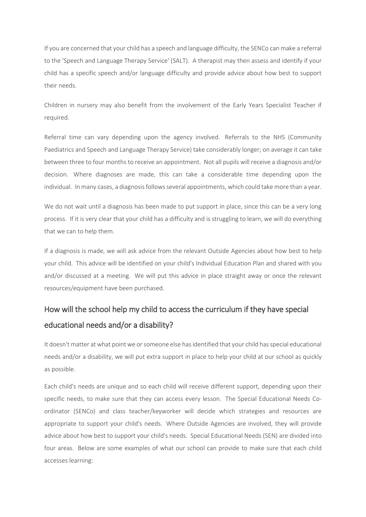If you are concerned that your child has a speech and language difficulty, the SENCo can make a referral to the 'Speech and Language Therapy Service' (SALT). A therapist may then assess and identify if your child has a specific speech and/or language difficulty and provide advice about how best to support their needs.

Children in nursery may also benefit from the involvement of the Early Years Specialist Teacher if required.

Referral time can vary depending upon the agency involved. Referrals to the NHS (Community Paediatrics and Speech and Language Therapy Service) take considerably longer; on average it can take between three to four months to receive an appointment. Not all pupils will receive a diagnosis and/or decision. Where diagnoses are made, this can take a considerable time depending upon the individual. In many cases, a diagnosis follows several appointments, which could take more than a year.

We do not wait until a diagnosis has been made to put support in place, since this can be a very long process. If it is very clear that your child has a difficulty and is struggling to learn, we will do everything that we can to help them.

If a diagnosis is made, we will ask advice from the relevant Outside Agencies about how best to help your child. This advice will be identified on your child's Individual Education Plan and shared with you and/or discussed at a meeting. We will put this advice in place straight away or once the relevant resources/equipment have been purchased.

# How will the school help my child to access the curriculum if they have special educational needs and/or a disability?

It doesn't matter at what point we or someone else has identified that your child has special educational needs and/or a disability, we will put extra support in place to help your child at our school as quickly as possible.

Each child's needs are unique and so each child will receive different support, depending upon their specific needs, to make sure that they can access every lesson. The Special Educational Needs Coordinator (SENCo) and class teacher/keyworker will decide which strategies and resources are appropriate to support your child's needs. Where Outside Agencies are involved, they will provide advice about how best to support your child's needs. Special Educational Needs (SEN) are divided into four areas. Below are some examples of what our school can provide to make sure that each child accesses learning: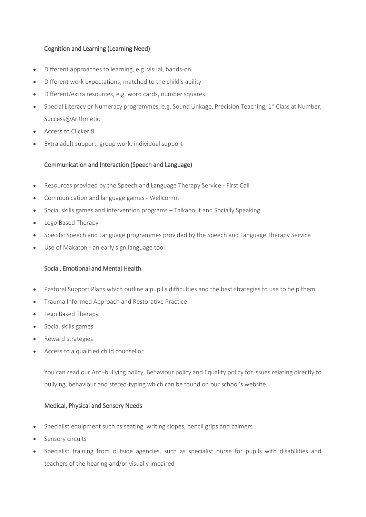#### Cognition and Learning (Learning Need)

- Different approaches to learning, e.g. visual, hands-on
- Different work expectations, matched to the child's ability
- Different/extra resources, e.g. word cards, number squares
- Special Literacy or Numeracy programmes, e.g. Sound Linkage, Precision Teaching, 1<sup>st</sup> Class at Number, Success@Arithmetic
- Access to Clicker 8
- Extra adult support, group work, individual support

#### Communication and Interaction (Speech and Language)

- Resources provided by the Speech and Language Therapy Service First Call
- Communication and language games Wellcomm
- Social skills games and intervention programs Talkabout and Socially Speaking
- Lego Based Therapy
- Specific Speech and Language programmes provided by the Speech and Language Therapy Service
- Use of Makaton an early sign language tool

#### Social, Emotional and Mental Health

- Pastoral Support Plans which outline a pupil's difficulties and the best strategies to use to help them
- Trauma Informed Approach and Restorative Practice
- Lego Based Therapy
- Social skills games
- Reward strategies
- Access to a qualified child counsellor

You can read our Anti-bullying policy, Behaviour policy and Equality policy for issues relating directly to bullying, behaviour and stereo-typing which can be found on our school's website.

#### Medical, Physical and Sensory Needs

- Specialist equipment such as seating, writing slopes, pencil grips and calmers
- Sensory circuits
- Specialist training from outside agencies, such as specialist nurse for pupils with disabilities and teachers of the hearing and/or visually impaired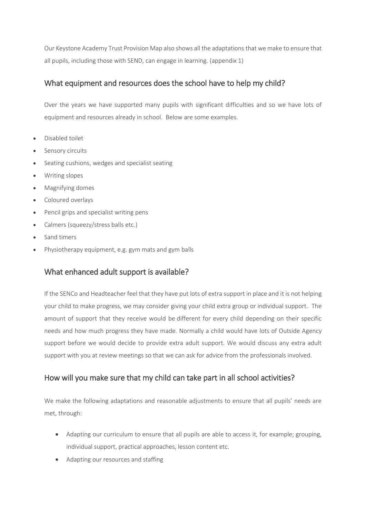Our Keystone Academy Trust Provision Map also shows all the adaptations that we make to ensure that all pupils, including those with SEND, can engage in learning. (appendix 1)

# What equipment and resources does the school have to help my child?

Over the years we have supported many pupils with significant difficulties and so we have lots of equipment and resources already in school. Below are some examples.

- Disabled toilet
- Sensory circuits
- Seating cushions, wedges and specialist seating
- Writing slopes
- Magnifying domes
- Coloured overlays
- Pencil grips and specialist writing pens
- Calmers (squeezy/stress balls etc.)
- Sand timers
- Physiotherapy equipment, e.g. gym mats and gym balls

# What enhanced adult support is available?

If the SENCo and Headteacher feel that they have put lots of extra support in place and it is not helping your child to make progress, we may consider giving your child extra group or individual support. The amount of support that they receive would be different for every child depending on their specific needs and how much progress they have made. Normally a child would have lots of Outside Agency support before we would decide to provide extra adult support. We would discuss any extra adult support with you at review meetings so that we can ask for advice from the professionals involved.

# How will you make sure that my child can take part in all school activities?

We make the following adaptations and reasonable adjustments to ensure that all pupils' needs are met, through:

- Adapting our curriculum to ensure that all pupils are able to access it, for example; grouping, individual support, practical approaches, lesson content etc.
- Adapting our resources and staffing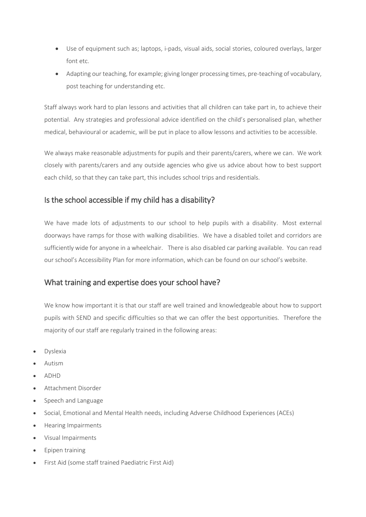- Use of equipment such as; laptops, i-pads, visual aids, social stories, coloured overlays, larger font etc.
- Adapting our teaching, for example; giving longer processing times, pre-teaching of vocabulary, post teaching for understanding etc.

Staff always work hard to plan lessons and activities that all children can take part in, to achieve their potential. Any strategies and professional advice identified on the child's personalised plan, whether medical, behavioural or academic, will be put in place to allow lessons and activities to be accessible.

We always make reasonable adjustments for pupils and their parents/carers, where we can. We work closely with parents/carers and any outside agencies who give us advice about how to best support each child, so that they can take part, this includes school trips and residentials.

# Is the school accessible if my child has a disability?

We have made lots of adjustments to our school to help pupils with a disability. Most external doorways have ramps for those with walking disabilities. We have a disabled toilet and corridors are sufficiently wide for anyone in a wheelchair. There is also disabled car parking available. You can read our school's Accessibility Plan for more information, which can be found on our school's website.

# What training and expertise does your school have?

We know how important it is that our staff are well trained and knowledgeable about how to support pupils with SEND and specific difficulties so that we can offer the best opportunities. Therefore the majority of our staff are regularly trained in the following areas:

- Dyslexia
- Autism
- ADHD
- Attachment Disorder
- Speech and Language
- Social, Emotional and Mental Health needs, including Adverse Childhood Experiences (ACEs)
- Hearing Impairments
- Visual Impairments
- Epipen training
- First Aid (some staff trained Paediatric First Aid)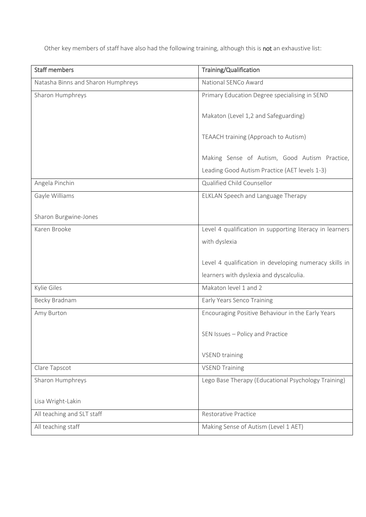Other key members of staff have also had the following training, although this is not an exhaustive list:

| <b>Staff members</b>               | Training/Qualification                                   |  |
|------------------------------------|----------------------------------------------------------|--|
| Natasha Binns and Sharon Humphreys | National SENCo Award                                     |  |
| Sharon Humphreys                   | Primary Education Degree specialising in SEND            |  |
|                                    | Makaton (Level 1,2 and Safeguarding)                     |  |
|                                    | TEAACH training (Approach to Autism)                     |  |
|                                    | Making Sense of Autism, Good Autism Practice,            |  |
|                                    | Leading Good Autism Practice (AET levels 1-3)            |  |
| Angela Pinchin                     | Qualified Child Counsellor                               |  |
| Gayle Williams                     | ELKLAN Speech and Language Therapy                       |  |
| Sharon Burgwine-Jones              |                                                          |  |
| Karen Brooke                       | Level 4 qualification in supporting literacy in learners |  |
|                                    | with dyslexia                                            |  |
|                                    | Level 4 qualification in developing numeracy skills in   |  |
|                                    | learners with dyslexia and dyscalculia.                  |  |
| Kylie Giles                        | Makaton level 1 and 2                                    |  |
| Becky Bradnam                      | Early Years Senco Training                               |  |
|                                    |                                                          |  |
| Amy Burton                         | Encouraging Positive Behaviour in the Early Years        |  |
|                                    | SEN Issues - Policy and Practice                         |  |
|                                    | <b>VSEND training</b>                                    |  |
| Clare Tapscot                      | <b>VSEND Training</b>                                    |  |
| Sharon Humphreys                   | Lego Base Therapy (Educational Psychology Training)      |  |
|                                    |                                                          |  |
| Lisa Wright-Lakin                  |                                                          |  |
| All teaching and SLT staff         | <b>Restorative Practice</b>                              |  |
| All teaching staff                 | Making Sense of Autism (Level 1 AET)                     |  |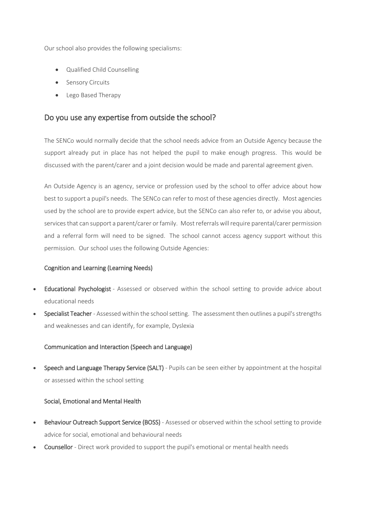Our school also provides the following specialisms:

- Qualified Child Counselling
- **•** Sensory Circuits
- Lego Based Therapy

### Do you use any expertise from outside the school?

The SENCo would normally decide that the school needs advice from an Outside Agency because the support already put in place has not helped the pupil to make enough progress. This would be discussed with the parent/carer and a joint decision would be made and parental agreement given.

An Outside Agency is an agency, service or profession used by the school to offer advice about how best to support a pupil's needs. The SENCo can refer to most of these agencies directly. Most agencies used by the school are to provide expert advice, but the SENCo can also refer to, or advise you about, services that can support a parent/carer or family. Most referrals will require parental/carer permission and a referral form will need to be signed. The school cannot access agency support without this permission. Our school uses the following Outside Agencies:

#### Cognition and Learning (Learning Needs)

- Educational Psychologist Assessed or observed within the school setting to provide advice about educational needs
- Specialist Teacher Assessed within the school setting. The assessment then outlines a pupil's strengths and weaknesses and can identify, for example, Dyslexia

#### Communication and Interaction (Speech and Language)

 Speech and Language Therapy Service (SALT) - Pupils can be seen either by appointment at the hospital or assessed within the school setting

#### Social, Emotional and Mental Health

- Behaviour Outreach Support Service (BOSS) Assessed or observed within the school setting to provide advice for social, emotional and behavioural needs
- Counsellor Direct work provided to support the pupil's emotional or mental health needs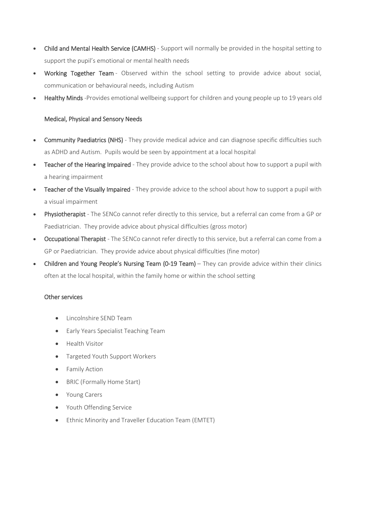- Child and Mental Health Service (CAMHS) Support will normally be provided in the hospital setting to support the pupil's emotional or mental health needs
- Working Together Team Observed within the school setting to provide advice about social, communication or behavioural needs, including Autism
- Healthy Minds -Provides emotional wellbeing support for children and young people up to 19 years old

#### Medical, Physical and Sensory Needs

- Community Paediatrics (NHS) They provide medical advice and can diagnose specific difficulties such as ADHD and Autism. Pupils would be seen by appointment at a local hospital
- Teacher of the Hearing Impaired They provide advice to the school about how to support a pupil with a hearing impairment
- Teacher of the Visually Impaired They provide advice to the school about how to support a pupil with a visual impairment
- Physiotherapist The SENCo cannot refer directly to this service, but a referral can come from a GP or Paediatrician. They provide advice about physical difficulties (gross motor)
- Occupational Therapist The SENCo cannot refer directly to this service, but a referral can come from a GP or Paediatrician. They provide advice about physical difficulties (fine motor)
- Children and Young People's Nursing Team (0-19 Team) They can provide advice within their clinics often at the local hospital, within the family home or within the school setting

#### Other services

- Lincolnshire SEND Team
- **•** Early Years Specialist Teaching Team
- **•** Health Visitor
- Targeted Youth Support Workers
- **•** Family Action
- BRIC (Formally Home Start)
- Young Carers
- Youth Offending Service
- Ethnic Minority and Traveller Education Team (EMTET)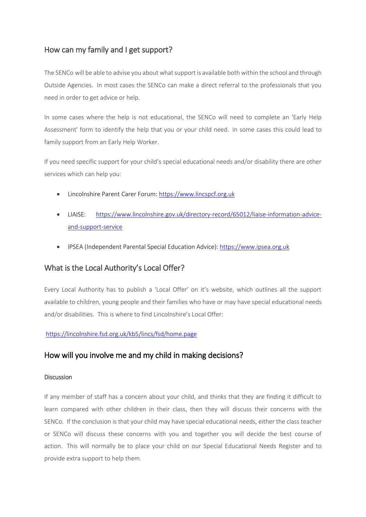# How can my family and I get support?

The SENCo will be able to advise you about what support is available both within the school and through Outside Agencies. In most cases the SENCo can make a direct referral to the professionals that you need in order to get advice or help.

In some cases where the help is not educational, the SENCo will need to complete an 'Early Help Assessment' form to identify the help that you or your child need. In some cases this could lead to family support from an Early Help Worker.

If you need specific support for your child's special educational needs and/or disability there are other services which can help you:

- Lincolnshire Parent Carer Forum[: https://www.lincspcf.org.uk](https://www.lincspcf.org.uk/)
- LIAISE: [https://www.lincolnshire.gov.uk/directory-record/65012/liaise-information-advice](https://www.lincolnshire.gov.uk/directory-record/65012/liaise-information-advice-and-support-service)[and-support-service](https://www.lincolnshire.gov.uk/directory-record/65012/liaise-information-advice-and-support-service)
- IPSEA (Independent Parental Special Education Advice): [https://www.ipsea.org.uk](https://www.ipsea.org.uk/)

# What is the Local Authority's Local Offer?

Every Local Authority has to publish a 'Local Offer' on it's website, which outlines all the support available to children, young people and their families who have or may have special educational needs and/or disabilities. This is where to find Lincolnshire's Local Offer:

#### <https://lincolnshire.fsd.org.uk/kb5/lincs/fsd/home.page>

# How will you involve me and my child in making decisions?

#### **Discussion**

If any member of staff has a concern about your child, and thinks that they are finding it difficult to learn compared with other children in their class, then they will discuss their concerns with the SENCo. If the conclusion is that your child may have special educational needs, either the class teacher or SENCo will discuss these concerns with you and together you will decide the best course of action. This will normally be to place your child on our Special Educational Needs Register and to provide extra support to help them.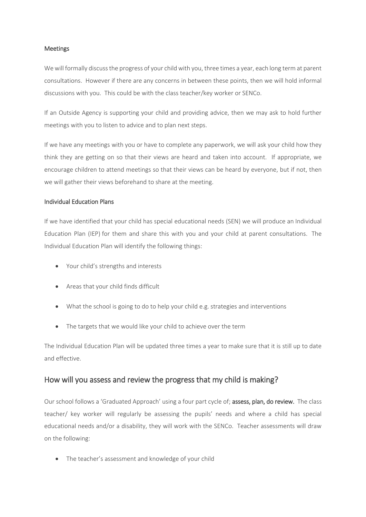#### Meetings

We will formally discuss the progress of your child with you, three times a year, each long term at parent consultations. However if there are any concerns in between these points, then we will hold informal discussions with you. This could be with the class teacher/key worker or SENCo.

If an Outside Agency is supporting your child and providing advice, then we may ask to hold further meetings with you to listen to advice and to plan next steps.

If we have any meetings with you or have to complete any paperwork, we will ask your child how they think they are getting on so that their views are heard and taken into account. If appropriate, we encourage children to attend meetings so that their views can be heard by everyone, but if not, then we will gather their views beforehand to share at the meeting.

#### Individual Education Plans

If we have identified that your child has special educational needs (SEN) we will produce an Individual Education Plan (IEP) for them and share this with you and your child at parent consultations. The Individual Education Plan will identify the following things:

- Your child's strengths and interests
- Areas that your child finds difficult
- What the school is going to do to help your child e.g. strategies and interventions
- The targets that we would like your child to achieve over the term

The Individual Education Plan will be updated three times a year to make sure that it is still up to date and effective.

### How will you assess and review the progress that my child is making?

Our school follows a 'Graduated Approach' using a four part cycle of; assess, plan, do review. The class teacher/ key worker will regularly be assessing the pupils' needs and where a child has special educational needs and/or a disability, they will work with the SENCo. Teacher assessments will draw on the following:

• The teacher's assessment and knowledge of your child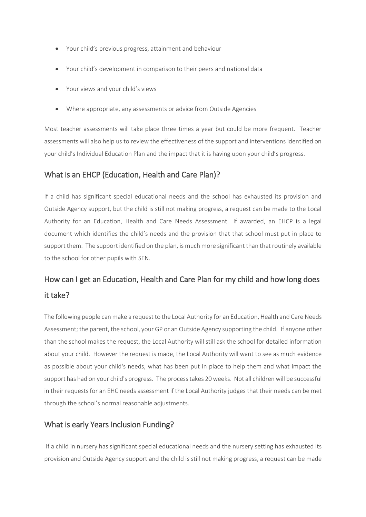- Your child's previous progress, attainment and behaviour
- Your child's development in comparison to their peers and national data
- Your views and your child's views
- Where appropriate, any assessments or advice from Outside Agencies

Most teacher assessments will take place three times a year but could be more frequent. Teacher assessments will also help us to review the effectiveness of the support and interventions identified on your child's Individual Education Plan and the impact that it is having upon your child's progress.

### What is an EHCP (Education, Health and Care Plan)?

If a child has significant special educational needs and the school has exhausted its provision and Outside Agency support, but the child is still not making progress, a request can be made to the Local Authority for an Education, Health and Care Needs Assessment. If awarded, an EHCP is a legal document which identifies the child's needs and the provision that that school must put in place to support them. The support identified on the plan, is much more significant than that routinely available to the school for other pupils with SEN.

# How can I get an Education, Health and Care Plan for my child and how long does it take?

The following people can make a request to the Local Authority for an Education, Health and Care Needs Assessment; the parent, the school, your GP or an Outside Agency supporting the child. If anyone other than the school makes the request, the Local Authority will still ask the school for detailed information about your child. However the request is made, the Local Authority will want to see as much evidence as possible about your child's needs, what has been put in place to help them and what impact the support has had on your child's progress. The process takes 20 weeks. Not all children will be successful in their requests for an EHC needs assessment if the Local Authority judges that their needs can be met through the school's normal reasonable adjustments.

#### What is early Years Inclusion Funding?

If a child in nursery has significant special educational needs and the nursery setting has exhausted its provision and Outside Agency support and the child is still not making progress, a request can be made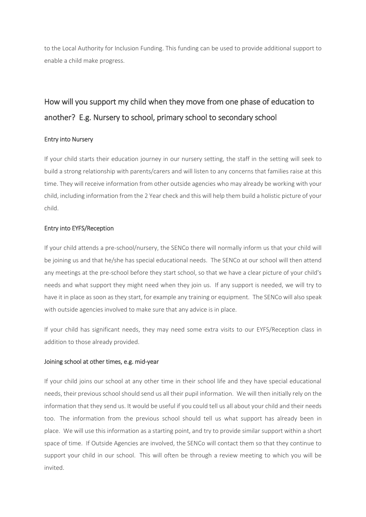to the Local Authority for Inclusion Funding. This funding can be used to provide additional support to enable a child make progress.

# How will you support my child when they move from one phase of education to another? E.g. Nursery to school, primary school to secondary school

#### Entry into Nursery

If your child starts their education journey in our nursery setting, the staff in the setting will seek to build a strong relationship with parents/carers and will listen to any concerns that families raise at this time. They will receive information from other outside agencies who may already be working with your child, including information from the 2 Year check and this will help them build a holistic picture of your child.

#### Entry into EYFS/Reception

If your child attends a pre-school/nursery, the SENCo there will normally inform us that your child will be joining us and that he/she has special educational needs. The SENCo at our school will then attend any meetings at the pre-school before they start school, so that we have a clear picture of your child's needs and what support they might need when they join us. If any support is needed, we will try to have it in place as soon as they start, for example any training or equipment. The SENCo will also speak with outside agencies involved to make sure that any advice is in place.

If your child has significant needs, they may need some extra visits to our EYFS/Reception class in addition to those already provided.

#### Joining school at other times, e.g. mid-year

If your child joins our school at any other time in their school life and they have special educational needs, their previous school should send us all their pupil information. We will then initially rely on the information that they send us. It would be useful if you could tell us all about your child and their needs too. The information from the previous school should tell us what support has already been in place. We will use this information as a starting point, and try to provide similar support within a short space of time. If Outside Agencies are involved, the SENCo will contact them so that they continue to support your child in our school. This will often be through a review meeting to which you will be invited.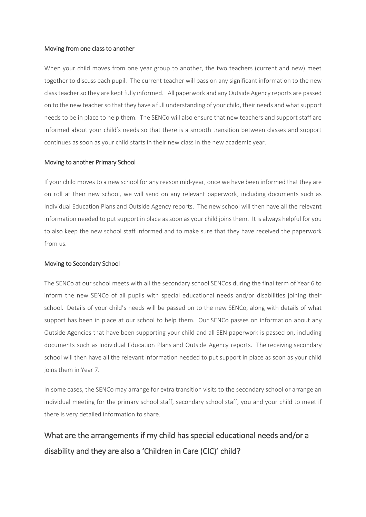#### Moving from one class to another

When your child moves from one year group to another, the two teachers (current and new) meet together to discuss each pupil. The current teacher will pass on any significant information to the new class teacher so they are kept fully informed. All paperwork and any Outside Agency reports are passed on to the new teacher so that they have a full understanding of your child, their needs and what support needs to be in place to help them. The SENCo will also ensure that new teachers and support staff are informed about your child's needs so that there is a smooth transition between classes and support continues as soon as your child starts in their new class in the new academic year.

#### Moving to another Primary School

If your child moves to a new school for any reason mid-year, once we have been informed that they are on roll at their new school, we will send on any relevant paperwork, including documents such as Individual Education Plans and Outside Agency reports. The new school will then have all the relevant information needed to put support in place as soon as your child joins them. It is always helpful for you to also keep the new school staff informed and to make sure that they have received the paperwork from us.

#### Moving to Secondary School

The SENCo at our school meets with all the secondary school SENCos during the final term of Year 6 to inform the new SENCo of all pupils with special educational needs and/or disabilities joining their school. Details of your child's needs will be passed on to the new SENCo, along with details of what support has been in place at our school to help them. Our SENCo passes on information about any Outside Agencies that have been supporting your child and all SEN paperwork is passed on, including documents such as Individual Education Plans and Outside Agency reports. The receiving secondary school will then have all the relevant information needed to put support in place as soon as your child joins them in Year 7.

In some cases, the SENCo may arrange for extra transition visits to the secondary school or arrange an individual meeting for the primary school staff, secondary school staff, you and your child to meet if there is very detailed information to share.

# What are the arrangements if my child has special educational needs and/or a disability and they are also a 'Children in Care (CIC)' child?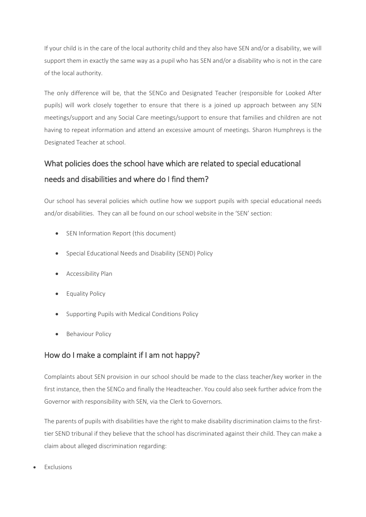If your child is in the care of the local authority child and they also have SEN and/or a disability, we will support them in exactly the same way as a pupil who has SEN and/or a disability who is not in the care of the local authority.

The only difference will be, that the SENCo and Designated Teacher (responsible for Looked After pupils) will work closely together to ensure that there is a joined up approach between any SEN meetings/support and any Social Care meetings/support to ensure that families and children are not having to repeat information and attend an excessive amount of meetings. Sharon Humphreys is the Designated Teacher at school.

# What policies does the school have which are related to special educational needs and disabilities and where do I find them?

Our school has several policies which outline how we support pupils with special educational needs and/or disabilities. They can all be found on our school website in the 'SEN' section:

- SEN Information Report (this document)
- Special Educational Needs and Disability (SEND) Policy
- **•** Accessibility Plan
- **•** Equality Policy
- Supporting Pupils with Medical Conditions Policy
- Behaviour Policy

# How do I make a complaint if I am not happy?

Complaints about SEN provision in our school should be made to the class teacher/key worker in the first instance, then the SENCo and finally the Headteacher. You could also seek further advice from the Governor with responsibility with SEN, via the Clerk to Governors.

The parents of pupils with disabilities have the right to make disability discrimination claims to the firsttier SEND tribunal if they believe that the school has discriminated against their child. They can make a claim about alleged discrimination regarding:

Exclusions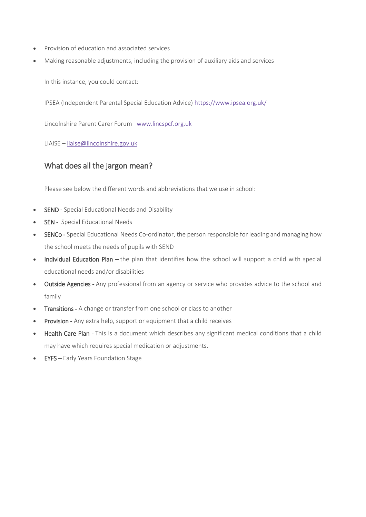- Provision of education and associated services
- Making reasonable adjustments, including the provision of auxiliary aids and services

In this instance, you could contact:

IPSEA (Independent Parental Special Education Advice) <https://www.ipsea.org.uk/>

Lincolnshire Parent Carer Forum [www.lincspcf.org.uk](http://www.lincspcf.org.uk/)

LIAISE – [liaise@lincolnshire.gov.uk](mailto:liaise@lincolnshire.gov.uk)

### What does all the jargon mean?

Please see below the different words and abbreviations that we use in school:

- SEND Special Educational Needs and Disability
- SEN Special Educational Needs
- SENCo Special Educational Needs Co-ordinator, the person responsible for leading and managing how the school meets the needs of pupils with SEND
- Individual Education Plan the plan that identifies how the school will support a child with special educational needs and/or disabilities
- Outside Agencies Any professional from an agency or service who provides advice to the school and family
- Transitions A change or transfer from one school or class to another
- Provision Any extra help, support or equipment that a child receives
- Health Care Plan This is a document which describes any significant medical conditions that a child may have which requires special medication or adjustments.
- EYFS Early Years Foundation Stage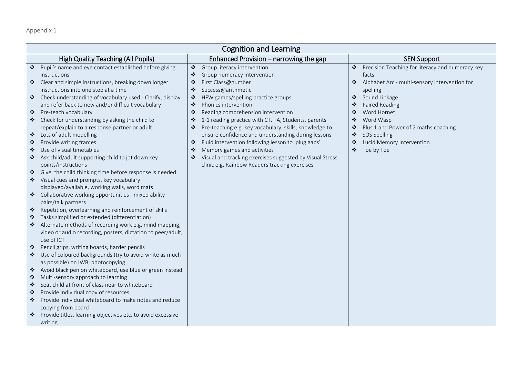Appendix 1

| <b>Cognition and Learning</b>                                                                                                                                                                                                                                                                                                                                                                                                                                                                                                                                                                                                                                                                                                                                                                                                                                                                                                                                                                                                                                                                                                                                                                                                                                                                                                                                                                                                                                                                                                                                                                                                                                                                                                                                                                                                                                                                                                                                                                                                                                                                                                                                                                                                                                                                                                                                                                            |                                                                                                                                                                                                                                                                                                  |  |  |  |
|----------------------------------------------------------------------------------------------------------------------------------------------------------------------------------------------------------------------------------------------------------------------------------------------------------------------------------------------------------------------------------------------------------------------------------------------------------------------------------------------------------------------------------------------------------------------------------------------------------------------------------------------------------------------------------------------------------------------------------------------------------------------------------------------------------------------------------------------------------------------------------------------------------------------------------------------------------------------------------------------------------------------------------------------------------------------------------------------------------------------------------------------------------------------------------------------------------------------------------------------------------------------------------------------------------------------------------------------------------------------------------------------------------------------------------------------------------------------------------------------------------------------------------------------------------------------------------------------------------------------------------------------------------------------------------------------------------------------------------------------------------------------------------------------------------------------------------------------------------------------------------------------------------------------------------------------------------------------------------------------------------------------------------------------------------------------------------------------------------------------------------------------------------------------------------------------------------------------------------------------------------------------------------------------------------------------------------------------------------------------------------------------------------|--------------------------------------------------------------------------------------------------------------------------------------------------------------------------------------------------------------------------------------------------------------------------------------------------|--|--|--|
| <b>High Quality Teaching (All Pupils)</b><br>Enhanced Provision – narrowing the gap                                                                                                                                                                                                                                                                                                                                                                                                                                                                                                                                                                                                                                                                                                                                                                                                                                                                                                                                                                                                                                                                                                                                                                                                                                                                                                                                                                                                                                                                                                                                                                                                                                                                                                                                                                                                                                                                                                                                                                                                                                                                                                                                                                                                                                                                                                                      | <b>SEN Support</b>                                                                                                                                                                                                                                                                               |  |  |  |
| Pupil's name and eye contact established before giving<br>$\ddot{\psi}$<br>❖<br>Group literacy intervention<br>❖<br>❖<br>Group numeracy intervention<br>instructions<br>Clear and simple instructions, breaking down longer<br>First Class@number<br>❖<br>❖<br>instructions into one step at a time<br>Success@arithmetic<br>❖<br>❖ Check understanding of vocabulary used - Clarify, display<br>HFW games/spelling practice groups<br>❖<br>and refer back to new and/or difficult vocabulary<br>Phonics intervention<br>❖<br>❖<br>Pre-teach vocabulary<br>❖<br>Reading comprehension intervention<br>❖<br>❖<br>Check for understanding by asking the child to<br>1-1 reading practice with CT, TA, Students, parents<br>❖<br>❖<br>❖<br>repeat/explain to a response partner or adult<br>Pre-teaching e.g. key vocabulary, skills, knowledge to<br>❖<br>❖<br>Lots of adult modelling<br>ensure confidence and understanding during lessons<br>❖<br>Fluid intervention following lesson to 'plug gaps'<br>Provide writing frames<br>❖<br>❖<br>❖<br>Use of visual timetables<br>Memory games and activities<br>❖<br>❖<br>Ask child/adult supporting child to jot down key<br>Visual and tracking exercises suggested by Visual Stress<br>$\frac{1}{2}$<br>❖<br>points/instructions<br>clinic e.g. Rainbow Readers tracking exercises<br>Give the child thinking time before response is needed<br>Visual cues and prompts, key vocabulary<br>❖<br>displayed/available, working walls, word mats<br>❖ Collaborative working opportunities - mixed ability<br>pairs/talk partners<br>Repetition, overlearning and reinforcement of skills<br>❖<br>Tasks simplified or extended (differentiation)<br>❖<br>Alternate methods of recording work e.g. mind mapping,<br>❖<br>video or audio recording, posters, dictation to peer/adult,<br>use of ICT<br>Pencil grips, writing boards, harder pencils<br>❖<br>Use of coloured backgrounds (try to avoid white as much<br>❖<br>as possible) on IWB, photocopying<br>Avoid black pen on whiteboard, use blue or green instead<br>❖<br>Multi-sensory approach to learning<br>❖<br>Seat child at front of class near to whiteboard<br>❖<br>Provide individual copy of resources<br>❖<br>Provide individual whiteboard to make notes and reduce<br>$\frac{1}{2}$<br>copying from board<br>Provide titles, learning objectives etc. to avoid excessive<br>❖<br>writing | Precision Teaching for literacy and numeracy key<br>facts<br>❖ Alphabet Arc - multi-sensory intervention for<br>spelling<br>❖ Sound Linkage<br>Paired Reading<br>Word Hornet<br>Word Wasp<br>Plus 1 and Power of 2 maths coaching<br>❖ SOS Spelling<br>Lucid Memory Intervention<br>❖ Toe by Toe |  |  |  |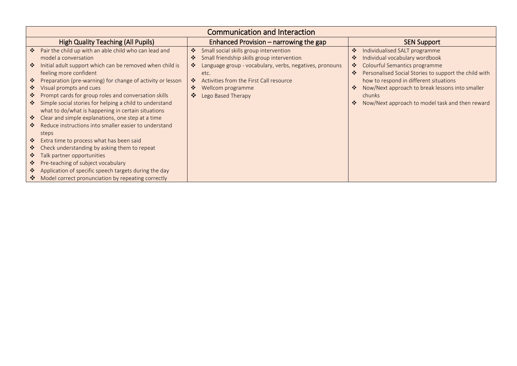| <b>Communication and Interaction</b>                                                                                                                                                                                                                                                                                |  |  |  |  |
|---------------------------------------------------------------------------------------------------------------------------------------------------------------------------------------------------------------------------------------------------------------------------------------------------------------------|--|--|--|--|
| <b>SEN Support</b>                                                                                                                                                                                                                                                                                                  |  |  |  |  |
| Individualised SALT programme<br>Individual vocabulary wordbook<br>Colourful Semantics programme<br>Personalised Social Stories to support the child with<br>how to respond in different situations<br>Now/Next approach to break lessons into smaller<br>chunks<br>Now/Next approach to model task and then reward |  |  |  |  |
|                                                                                                                                                                                                                                                                                                                     |  |  |  |  |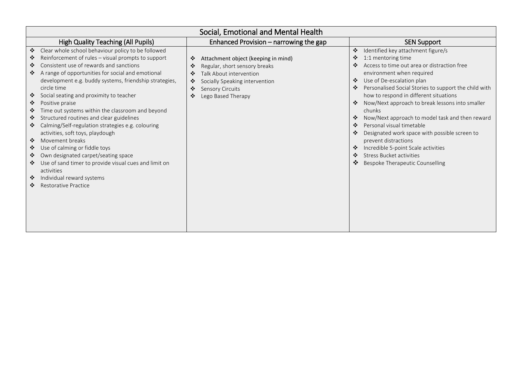| Social, Emotional and Mental Health                                                                                                                                                                                                                                                                                                                                                                                                                                                                                                                                                                                                                                                                                                                                                              |                                                                                      |                                                                                                                                                                                    |  |                                                                                                                                                                                                                                                                                                                                                                                                                                                                                                                                                                                                                                                        |
|--------------------------------------------------------------------------------------------------------------------------------------------------------------------------------------------------------------------------------------------------------------------------------------------------------------------------------------------------------------------------------------------------------------------------------------------------------------------------------------------------------------------------------------------------------------------------------------------------------------------------------------------------------------------------------------------------------------------------------------------------------------------------------------------------|--------------------------------------------------------------------------------------|------------------------------------------------------------------------------------------------------------------------------------------------------------------------------------|--|--------------------------------------------------------------------------------------------------------------------------------------------------------------------------------------------------------------------------------------------------------------------------------------------------------------------------------------------------------------------------------------------------------------------------------------------------------------------------------------------------------------------------------------------------------------------------------------------------------------------------------------------------------|
| <b>High Quality Teaching (All Pupils)</b>                                                                                                                                                                                                                                                                                                                                                                                                                                                                                                                                                                                                                                                                                                                                                        |                                                                                      | Enhanced Provision – narrowing the gap                                                                                                                                             |  | <b>SEN Support</b>                                                                                                                                                                                                                                                                                                                                                                                                                                                                                                                                                                                                                                     |
| Clear whole school behaviour policy to be followed<br>Reinforcement of rules - visual prompts to support<br>❖<br>Consistent use of rewards and sanctions<br>❖<br>A range of opportunities for social and emotional<br>❖<br>circle time<br>Social seating and proximity to teacher<br>❖<br>❖<br>Positive praise<br>Time out systems within the classroom and beyond<br>❖<br>Structured routines and clear guidelines<br>❖<br>Calming/Self-regulation strategies e.g. colouring<br>❖<br>activities, soft toys, playdough<br>Movement breaks<br>$\cdot$<br>Use of calming or fiddle toys<br>❖<br>Own designated carpet/seating space<br>❖<br>Use of sand timer to provide visual cues and limit on<br>❖<br>activities<br>Individual reward systems<br>$\ddot{\bullet}$<br>Restorative Practice<br>❖ | ❖<br>❖<br>❖<br>development e.g. buddy systems, friendship strategies,<br>❖<br>❖<br>❖ | Attachment object (keeping in mind)<br>Regular, short sensory breaks<br>Talk About intervention<br>Socially Speaking intervention<br><b>Sensory Circuits</b><br>Lego Based Therapy |  | Identified key attachment figure/s<br>$\frac{1}{2}$<br>1:1 mentoring time<br>❖<br>Access to time out area or distraction free<br>❖<br>environment when required<br>Use of De-escalation plan<br>❖<br>Personalised Social Stories to support the child with<br>❖<br>how to respond in different situations<br>Now/Next approach to break lessons into smaller<br>chunks<br>Now/Next approach to model task and then reward<br>Personal visual timetable<br>❖<br>Designated work space with possible screen to<br>prevent distractions<br>Incredible 5-point Scale activities<br><b>Stress Bucket activities</b><br>❖<br>Bespoke Therapeutic Counselling |
|                                                                                                                                                                                                                                                                                                                                                                                                                                                                                                                                                                                                                                                                                                                                                                                                  |                                                                                      |                                                                                                                                                                                    |  |                                                                                                                                                                                                                                                                                                                                                                                                                                                                                                                                                                                                                                                        |